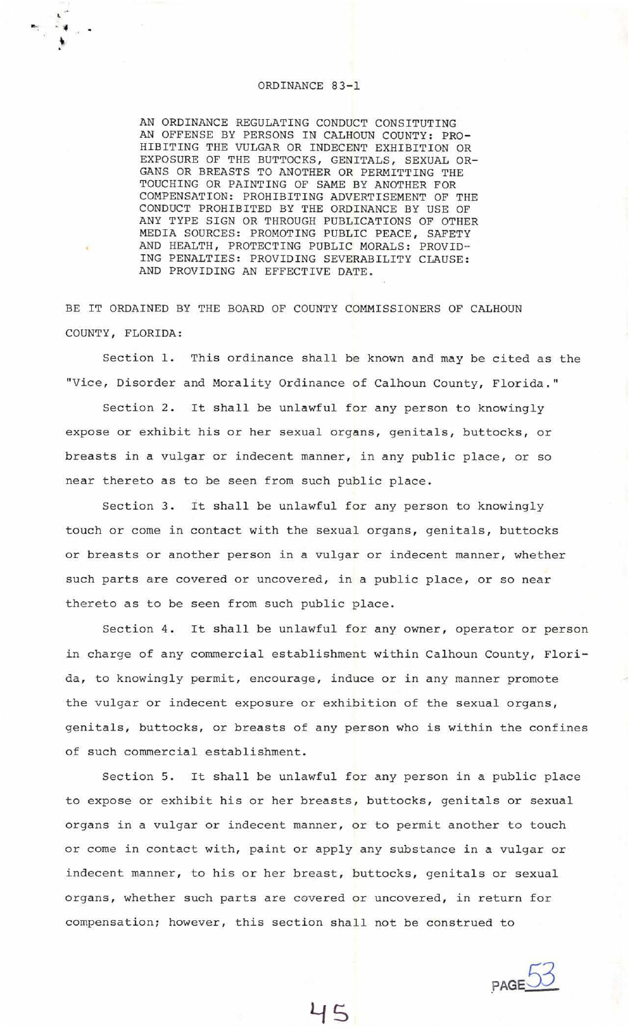## ORDINANCE 83-1

 $-1$ 

AN ORDINANCE REGULATING CONDUCT CONSITUTING AN OFFENSE BY PERSONS IN CALHOUN COUNTY: PRO-HIBITING THE VULGAR OR INDECENT EXHIBITION OR EXPOSURE OF THE BUTTOCKS, GENITALS, SEXUAL OR-GANS OR BREASTS TO ANOTHER OR PERMITTING THE TOUCHING OR PAINTING OF SAME BY ANOTHER FOR COMPENSATION: PROHIBITING ADVERTISEMENT OF THE CONDUCT PROHIBITED BY THE ORDINANCE BY USE OF ANY TYPE SIGN OR THROUGH PUBLICATIONS OF OTHER MEDIA SOURCES: PROMOTING PUBLIC PEACE, SAFETY AND HEALTH, PROTECTING PUBLIC MORALS: PROVID·- ING PENALTIES: PROVIDING SEVERABILITY CLAUSE: AND PROVIDING AN EFFECTIVE DATE.

BE IT ORDAINED BY THE BOARD OF COUNTY COMMISSIONERS OF CALHOUN COUNTY, FLORIDA:

Section 1. This ordinance shall be known and may be cited as the "Vice, Disorder and Morality Ordinance of Calhoun County, Florida."

Section 2. It shall be unlawful for any person to knowingly expose or exhibit his or her sexual organs, genitals, buttocks, or breasts *in* a vulgar or indecent manner, *in* any public place, or so near thereto as to be seen from such public place.

Section 3. It shall be unlawful for any person to knowingly touch or come *in* contact with the sexual organs, genitals, buttocks or breasts or another person *in* a vulgar or indecent manner, whether such parts are covered or uncovered, in a public place, or so near thereto as to be seen from such public place.

Section 4. It shall be unlawful for any owner, operator or person in charge of any commercial establishment within Calhoun County, Florida, to knowingly permit, encourage, induce or *in* any manner promote the vulgar or indecent exposure or exhibition of the sexual organs, genitals, buttocks, or breasts of any person who is within the confines of such commercial establishment.

Section 5. It shall be unlawful for any person *in* a public place to expose or exhibit his or her breasts, buttocks, genitals or sexual organs in a vulgar or indecent manner, or to permit another to touch or come in contact with, paint or apply any substance in a vulgar or indecent manner, to his or her breast, buttocks, genitals or sexual organs, whether such parts are c@vered or uncovered, *in* return for compensation; however, this section shall not be construed to

45

PAGE 53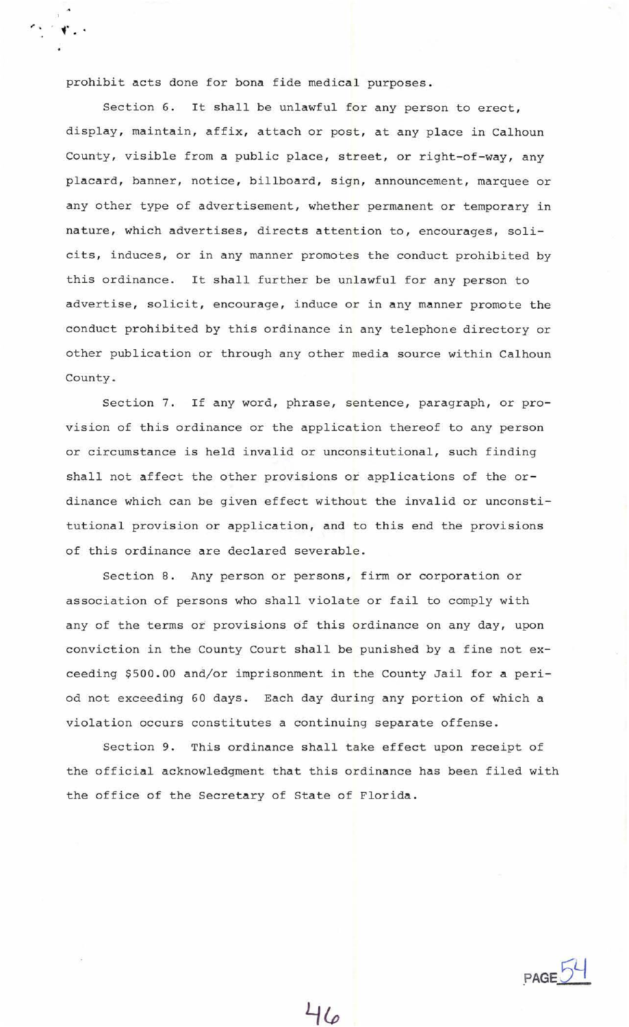prohibit acts done for bona fide medical purposes.

 $\mathbf{r}$ , ...

Section 6. It shall be unlawful for any person to erect, display, maintain, affix, attach or post, at any place in Calhoun County, visible from a public place, street, or right-of-way, any placard, banner, notice, billboard, sign, announcement, marquee or any other type of advertisement, whether permanent or temporary in nature, which advertises, directs attention to, encourages, solicits, induces, or in any manner promotes the conduct prohibited by this ordinance. It shall further be unlawful for any person to advertise, solicit, encourage, induce or in any manner promote the conduct prohibited by this ordinance in any telephone directory or other publication or through any other media source within Calhoun County.

Section 7. If any word, phrase, sentence, paragraph, or provision of this ordinance or the application thereof to any person or circumstance is held invalid or unconsitutional, such finding shall not affect the other provisions or applications of the ordinance which can be given effect without the invalid or unconstitutional provision or application, and to this end the provisions of this ordinance are declared severable.

Section 8. Any person or persons, firm or corporation or association of persons who shall violate or fail to comply with any of the terms or provisions of this ordinance on any day, upon conviction in the County Court shall be punished by a fine not exceeding \$500.00 and/or imprisonment in the County Jail for a period not exceeding 60 days. Each day during any portion of which a violation occurs constitutes a continuing separate offense.

Section 9. This ordinance shall take effect upon receipt of the official acknowledgment that this ordinance has been filed with the office of the Secretary of State of Florida.

**PAGE**<sup>54</sup>